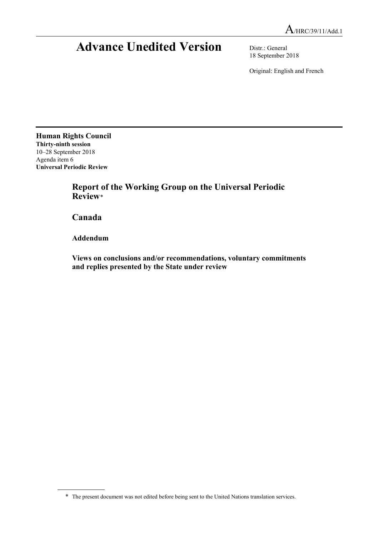# **Advance Unedited Version** Distr.: General

18 September 2018

Original: English and French

**Human Rights Council Thirty-ninth session** 10–28 September 2018 Agenda item 6 **Universal Periodic Review**

> **Report of the Working Group on the Universal Periodic Review**[\\*](#page-0-0)

**Canada**

**Addendum**

**Views on conclusions and/or recommendations, voluntary commitments and replies presented by the State under review**

<span id="page-0-0"></span><sup>\*</sup> The present document was not edited before being sent to the United Nations translation services.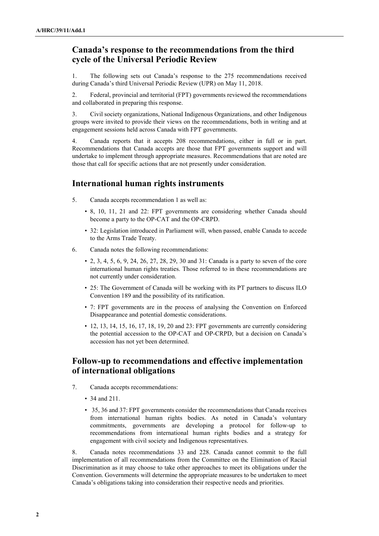## **Canada's response to the recommendations from the third cycle of the Universal Periodic Review**

1. The following sets out Canada's response to the 275 recommendations received during Canada's third Universal Periodic Review (UPR) on May 11, 2018.

2. Federal, provincial and territorial (FPT) governments reviewed the recommendations and collaborated in preparing this response.

3. Civil society organizations, National Indigenous Organizations, and other Indigenous groups were invited to provide their views on the recommendations, both in writing and at engagement sessions held across Canada with FPT governments.

4. Canada reports that it accepts 208 recommendations, either in full or in part. Recommendations that Canada accepts are those that FPT governments support and will undertake to implement through appropriate measures. Recommendations that are noted are those that call for specific actions that are not presently under consideration.

# **International human rights instruments**

- 5. Canada accepts recommendation 1 as well as:
	- 8, 10, 11, 21 and 22: FPT governments are considering whether Canada should become a party to the OP-CAT and the OP-CRPD.
	- 32: Legislation introduced in Parliament will, when passed, enable Canada to accede to the Arms Trade Treaty.
- 6. Canada notes the following recommendations:
	- 2, 3, 4, 5, 6, 9, 24, 26, 27, 28, 29, 30 and 31: Canada is a party to seven of the core international human rights treaties. Those referred to in these recommendations are not currently under consideration.
	- 25: The Government of Canada will be working with its PT partners to discuss ILO Convention 189 and the possibility of its ratification.
	- 7: FPT governments are in the process of analysing the Convention on Enforced Disappearance and potential domestic considerations.
	- 12, 13, 14, 15, 16, 17, 18, 19, 20 and 23: FPT governments are currently considering the potential accession to the OP-CAT and OP-CRPD, but a decision on Canada's accession has not yet been determined.

## **Follow-up to recommendations and effective implementation of international obligations**

- 7. Canada accepts recommendations:
	- 34 and 211.
	- 35, 36 and 37: FPT governments consider the recommendations that Canada receives from international human rights bodies. As noted in Canada's voluntary commitments, governments are developing a protocol for follow-up to recommendations from international human rights bodies and a strategy for engagement with civil society and Indigenous representatives.

8. Canada notes recommendations 33 and 228. Canada cannot commit to the full implementation of all recommendations from the Committee on the Elimination of Racial Discrimination as it may choose to take other approaches to meet its obligations under the Convention. Governments will determine the appropriate measures to be undertaken to meet Canada's obligations taking into consideration their respective needs and priorities.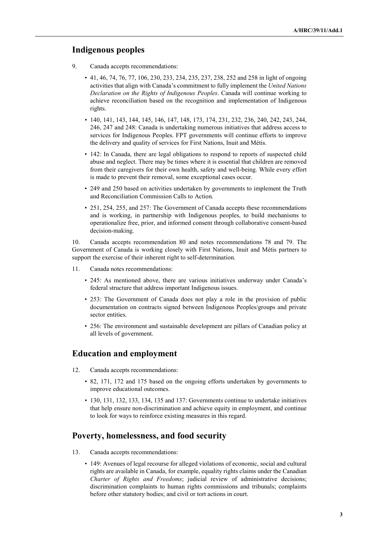## **Indigenous peoples**

- 9. Canada accepts recommendations:
	- 41, 46, 74, 76, 77, 106, 230, 233, 234, 235, 237, 238, 252 and 258 in light of ongoing activities that align with Canada's commitment to fully implement the *United Nations Declaration on the Rights of Indigenous Peoples*. Canada will continue working to achieve reconciliation based on the recognition and implementation of Indigenous rights.
	- 140, 141, 143, 144, 145, 146, 147, 148, 173, 174, 231, 232, 236, 240, 242, 243, 244, 246, 247 and 248: Canada is undertaking numerous initiatives that address access to services for Indigenous Peoples. FPT governments will continue efforts to improve the delivery and quality of services for First Nations, Inuit and Métis.
	- 142: In Canada, there are legal obligations to respond to reports of suspected child abuse and neglect. There may be times where it is essential that children are removed from their caregivers for their own health, safety and well-being. While every effort is made to prevent their removal, some exceptional cases occur.
	- 249 and 250 based on activities undertaken by governments to implement the Truth and Reconciliation Commission Calls to Action.
	- 251, 254, 255, and 257: The Government of Canada accepts these recommendations and is working, in partnership with Indigenous peoples, to build mechanisms to operationalize free, prior, and informed consent through collaborative consent-based decision-making.

10. Canada accepts recommendation 80 and notes recommendations 78 and 79. The Government of Canada is working closely with First Nations, Inuit and Métis partners to support the exercise of their inherent right to self-determination.

- 11. Canada notes recommendations:
	- 245: As mentioned above, there are various initiatives underway under Canada's federal structure that address important Indigenous issues.
	- 253: The Government of Canada does not play a role in the provision of public documentation on contracts signed between Indigenous Peoples/groups and private sector entities.
	- 256: The environment and sustainable development are pillars of Canadian policy at all levels of government.

## **Education and employment**

- 12. Canada accepts recommendations:
	- 82, 171, 172 and 175 based on the ongoing efforts undertaken by governments to improve educational outcomes.
	- 130, 131, 132, 133, 134, 135 and 137: Governments continue to undertake initiatives that help ensure non-discrimination and achieve equity in employment, and continue to look for ways to reinforce existing measures in this regard.

### **Poverty, homelessness, and food security**

- 13. Canada accepts recommendations:
	- 149: Avenues of legal recourse for alleged violations of economic, social and cultural rights are available in Canada, for example, equality rights claims under the Canadian *Charter of Rights and Freedoms*; judicial review of administrative decisions; discrimination complaints to human rights commissions and tribunals; complaints before other statutory bodies; and civil or tort actions in court.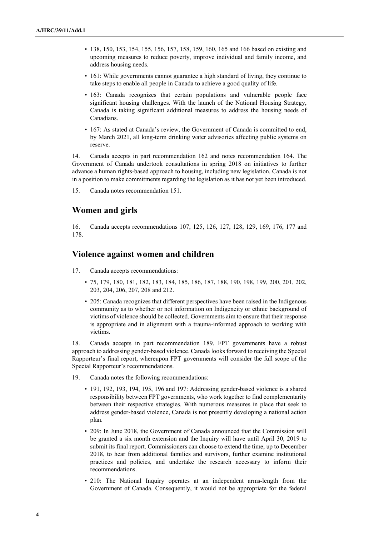- 138, 150, 153, 154, 155, 156, 157, 158, 159, 160, 165 and 166 based on existing and upcoming measures to reduce poverty, improve individual and family income, and address housing needs.
- 161: While governments cannot guarantee a high standard of living, they continue to take steps to enable all people in Canada to achieve a good quality of life.
- 163: Canada recognizes that certain populations and vulnerable people face significant housing challenges. With the launch of the National Housing Strategy, Canada is taking significant additional measures to address the housing needs of Canadians.
- 167: As stated at Canada's review, the Government of Canada is committed to end, by March 2021, all long-term drinking water advisories affecting public systems on reserve.

14. Canada accepts in part recommendation 162 and notes recommendation 164. The Government of Canada undertook consultations in spring 2018 on initiatives to further advance a human rights-based approach to housing, including new legislation. Canada is not in a position to make commitments regarding the legislation as it has not yet been introduced.

15. Canada notes recommendation 151.

## **Women and girls**

16. Canada accepts recommendations 107, 125, 126, 127, 128, 129, 169, 176, 177 and 178.

## **Violence against women and children**

- 17. Canada accepts recommendations:
	- 75, 179, 180, 181, 182, 183, 184, 185, 186, 187, 188, 190, 198, 199, 200, 201, 202, 203, 204, 206, 207, 208 and 212.
	- 205: Canada recognizes that different perspectives have been raised in the Indigenous community as to whether or not information on Indigeneity or ethnic background of victims of violence should be collected. Governments aim to ensure that their response is appropriate and in alignment with a trauma-informed approach to working with victims.

18. Canada accepts in part recommendation 189. FPT governments have a robust approach to addressing gender-based violence. Canada looks forward to receiving the Special Rapporteur's final report, whereupon FPT governments will consider the full scope of the Special Rapporteur's recommendations.

- 19. Canada notes the following recommendations:
	- 191, 192, 193, 194, 195, 196 and 197: Addressing gender-based violence is a shared responsibility between FPT governments, who work together to find complementarity between their respective strategies. With numerous measures in place that seek to address gender-based violence, Canada is not presently developing a national action plan.
	- 209: In June 2018, the Government of Canada announced that the Commission will be granted a six month extension and the Inquiry will have until April 30, 2019 to submit its final report. Commissioners can choose to extend the time, up to December 2018, to hear from additional families and survivors, further examine institutional practices and policies, and undertake the research necessary to inform their recommendations.
	- 210: The National Inquiry operates at an independent arms-length from the Government of Canada. Consequently, it would not be appropriate for the federal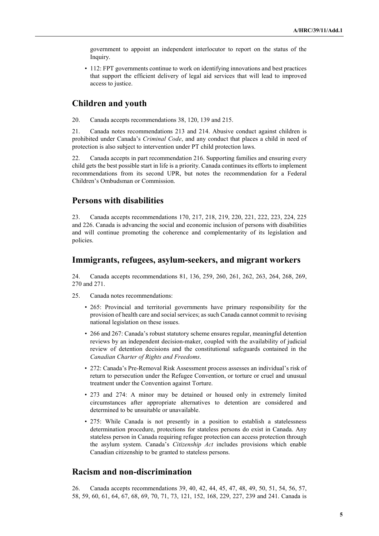government to appoint an independent interlocutor to report on the status of the Inquiry.

• 112: FPT governments continue to work on identifying innovations and best practices that support the efficient delivery of legal aid services that will lead to improved access to justice.

## **Children and youth**

20. Canada accepts recommendations 38, 120, 139 and 215.

21. Canada notes recommendations 213 and 214. Abusive conduct against children is prohibited under Canada's *Criminal Code*, and any conduct that places a child in need of protection is also subject to intervention under PT child protection laws.

22. Canada accepts in part recommendation 216. Supporting families and ensuring every child gets the best possible start in life is a priority. Canada continues its efforts to implement recommendations from its second UPR, but notes the recommendation for a Federal Children's Ombudsman or Commission.

## **Persons with disabilities**

23. Canada accepts recommendations 170, 217, 218, 219, 220, 221, 222, 223, 224, 225 and 226. Canada is advancing the social and economic inclusion of persons with disabilities and will continue promoting the coherence and complementarity of its legislation and policies.

### **Immigrants, refugees, asylum-seekers, and migrant workers**

24. Canada accepts recommendations 81, 136, 259, 260, 261, 262, 263, 264, 268, 269, 270 and 271.

- 25. Canada notes recommendations:
	- 265: Provincial and territorial governments have primary responsibility for the provision of health care and social services; as such Canada cannot commit to revising national legislation on these issues.
	- 266 and 267: Canada's robust statutory scheme ensures regular, meaningful detention reviews by an independent decision-maker, coupled with the availability of judicial review of detention decisions and the constitutional safeguards contained in the *Canadian Charter of Rights and Freedoms*.
	- 272: Canada's Pre-Removal Risk Assessment process assesses an individual's risk of return to persecution under the Refugee Convention, or torture or cruel and unusual treatment under the Convention against Torture.
	- 273 and 274: A minor may be detained or housed only in extremely limited circumstances after appropriate alternatives to detention are considered and determined to be unsuitable or unavailable.
	- 275: While Canada is not presently in a position to establish a statelessness determination procedure, protections for stateless persons do exist in Canada. Any stateless person in Canada requiring refugee protection can access protection through the asylum system. Canada's *Citizenship Act* includes provisions which enable Canadian citizenship to be granted to stateless persons.

## **Racism and non-discrimination**

26. Canada accepts recommendations 39, 40, 42, 44, 45, 47, 48, 49, 50, 51, 54, 56, 57, 58, 59, 60, 61, 64, 67, 68, 69, 70, 71, 73, 121, 152, 168, 229, 227, 239 and 241. Canada is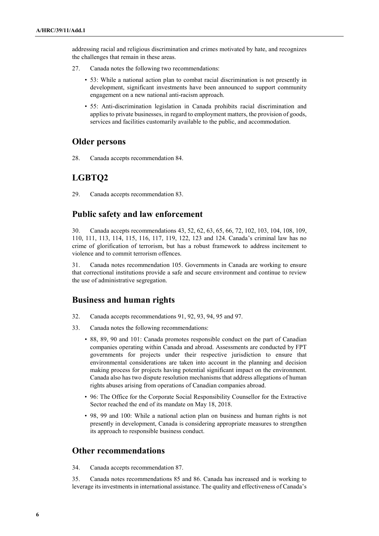addressing racial and religious discrimination and crimes motivated by hate, and recognizes the challenges that remain in these areas.

- 27. Canada notes the following two recommendations:
	- 53: While a national action plan to combat racial discrimination is not presently in development, significant investments have been announced to support community engagement on a new national anti-racism approach.
	- 55: Anti-discrimination legislation in Canada prohibits racial discrimination and applies to private businesses, in regard to employment matters, the provision of goods, services and facilities customarily available to the public, and accommodation.

### **Older persons**

28. Canada accepts recommendation 84.

## **LGBTQ2**

29. Canada accepts recommendation 83.

## **Public safety and law enforcement**

30. Canada accepts recommendations 43, 52, 62, 63, 65, 66, 72, 102, 103, 104, 108, 109, 110, 111, 113, 114, 115, 116, 117, 119, 122, 123 and 124. Canada's criminal law has no crime of glorification of terrorism, but has a robust framework to address incitement to violence and to commit terrorism offences.

31. Canada notes recommendation 105. Governments in Canada are working to ensure that correctional institutions provide a safe and secure environment and continue to review the use of administrative segregation.

## **Business and human rights**

- 32. Canada accepts recommendations 91, 92, 93, 94, 95 and 97.
- 33. Canada notes the following recommendations:
	- 88, 89, 90 and 101: Canada promotes responsible conduct on the part of Canadian companies operating within Canada and abroad. Assessments are conducted by FPT governments for projects under their respective jurisdiction to ensure that environmental considerations are taken into account in the planning and decision making process for projects having potential significant impact on the environment. Canada also has two dispute resolution mechanisms that address allegations of human rights abuses arising from operations of Canadian companies abroad.
	- 96: The Office for the Corporate Social Responsibility Counsellor for the Extractive Sector reached the end of its mandate on May 18, 2018.
	- 98, 99 and 100: While a national action plan on business and human rights is not presently in development, Canada is considering appropriate measures to strengthen its approach to responsible business conduct.

### **Other recommendations**

34. Canada accepts recommendation 87.

35. Canada notes recommendations 85 and 86. Canada has increased and is working to leverage its investments in international assistance. The quality and effectiveness of Canada's